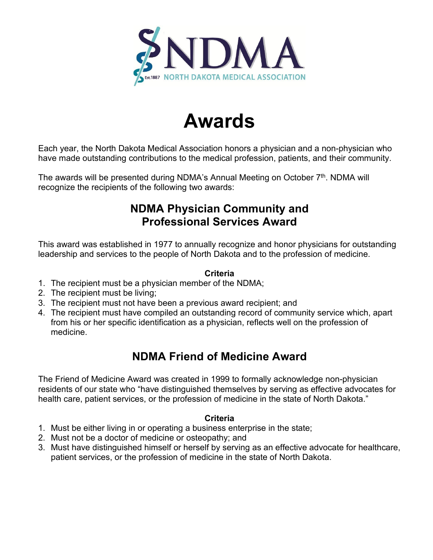

# **Awards**

Each year, the North Dakota Medical Association honors a physician and a non-physician who have made outstanding contributions to the medical profession, patients, and their community.

The awards will be presented during NDMA's Annual Meeting on October 7<sup>th</sup>. NDMA will recognize the recipients of the following two awards:

# **NDMA Physician Community and Professional Services Award**

This award was established in 1977 to annually recognize and honor physicians for outstanding leadership and services to the people of North Dakota and to the profession of medicine.

# **Criteria**

- 1. The recipient must be a physician member of the NDMA;
- 2. The recipient must be living;
- 3. The recipient must not have been a previous award recipient; and
- 4. The recipient must have compiled an outstanding record of community service which, apart from his or her specific identification as a physician, reflects well on the profession of medicine.

# **NDMA Friend of Medicine Award**

The Friend of Medicine Award was created in 1999 to formally acknowledge non-physician residents of our state who "have distinguished themselves by serving as effective advocates for health care, patient services, or the profession of medicine in the state of North Dakota."

## **Criteria**

- 1. Must be either living in or operating a business enterprise in the state;
- 2. Must not be a doctor of medicine or osteopathy; and
- 3. Must have distinguished himself or herself by serving as an effective advocate for healthcare, patient services, or the profession of medicine in the state of North Dakota.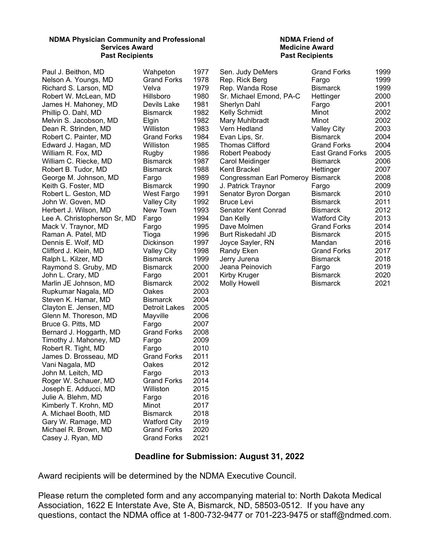#### **NDMA Physician Community and Professional Services Award Past Recipients**

Paul J. Beithon, MD Wahpeton 1977 Nelson A. Youngs, MD Grand Forks 1978 Richard S. Larson, MD Velva 1979 Robert W. McLean, MD Hillsboro 1980 James H. Mahoney, MD Devils Lake 1981 Phillip O. Dahl, MD Bismarck 1982 Melvin S. Jacobson, MD Elgin 1982 Dean R. Strinden, MD Williston 1983 Robert C. Painter, MD Grand Forks 1984<br>Edward J. Hagan, MD Williston 1985 Edward J. Hagan, MD Williston William R. Fox, MD Rugby 1986 William C. Riecke, MD Bismarck 1987 Robert B. Tudor, MD Bismarck 1988 George M. Johnson, MD Fargo 1989 Keith G. Foster, MD Bismarck 1990 Robert L. Geston, MD West Fargo 1991 John W. Goven, MD Valley City 1992 Herbert J. Wilson, MD New Town 1993 Lee A. Christopherson Sr, MD Fargo 1994 Mack V. Traynor, MD Fargo 1995 Raman A. Patel, MD Tioga 1996 Dennis E. Wolf, MD Dickinson 1997 Clifford J. Klein, MD Valley City 1998 Ralph L. Kilzer, MD Bismarck 1999 Raymond S. Gruby, MD Bismarck 2000 John L. Crary, MD Fargo 2001 Marlin JE Johnson, MD Bismarck 2002 Rupkumar Nagala, MD Steven K. Hamar, MD Bismarck 2004 Clayton E. Jensen, MD Detroit Lakes 2005<br>Glenn M. Thoreson, MD Mayville 2006 Glenn M. Thoreson, MD Mayville 2006 Bruce G. Pitts, MD Fargo 2007 Bernard J. Hoggarth, MD Grand Forks 2008 Timothy J. Mahoney, MD Fargo 2009 Robert R. Tight, MD Fargo 2010 James D. Brosseau, MD Grand Forks 2011 Vani Nagala, MD Oakes 2012 John M. Leitch, MD Fargo 2013 Roger W. Schauer, MD Grand Forks 2014<br>Joseph E. Adducci. MD Williston 2015 Joseph E. Adducci, MD Julie A. Blehm, MD Fargo 2016 Kimberly T. Krohn, MD Minot 2017 A. Michael Booth, MD Bismarck Gary W. Ramage, MD Watford City 2019 Michael R. Brown, MD Grand Forks 2020 Casey J. Ryan, MD Grand Forks 2021

#### **NDMA Friend of Medicine Award Past Recipients**

| Sen. Judy DeMers         | <b>Grand Forks</b>      | 1999 |
|--------------------------|-------------------------|------|
| Rep. Rick Berg           | Fargo                   | 1999 |
| Rep. Wanda Rose          | <b>Bismarck</b>         | 1999 |
| Sr. Michael Emond, PA-C  | Hettinger               | 2000 |
| Sherlyn Dahl             | Fargo                   | 2001 |
| Kelly Schmidt            | Minot                   | 2002 |
| Mary Muhlbradt           | Minot                   | 2002 |
| Vern Hedland             | Valley City             | 2003 |
| Evan Lips, Sr.           | Bismarck                | 2004 |
| <b>Thomas Clifford</b>   | Grand Forks             | 2004 |
| Robert Peabody           | <b>East Grand Forks</b> | 2005 |
| Carol Meidinger          | Bismarck                | 2006 |
| Kent Brackel             | Hettinger               | 2007 |
| Congressman Earl Pomeroy | <b>Bismarck</b>         | 2008 |
| J. Patrick Traynor       | Fargo                   | 2009 |
| Senator Byron Dorgan     | <b>Bismarck</b>         | 2010 |
| <b>Bruce Levi</b>        | Bismarck                | 2011 |
| Senator Kent Conrad      | <b>Bismarck</b>         | 2012 |
| Dan Kelly                | <b>Watford City</b>     | 2013 |
| Dave Molmen              | <b>Grand Forks</b>      | 2014 |
| Burt Riskedahl JD        | Bismarck                | 2015 |
| Joyce Sayler, RN         | Mandan                  | 2016 |
| Randy Eken               | <b>Grand Forks</b>      | 2017 |
| Jerry Jurena             | Bismarck                | 2018 |
| Jeana Peinovich          | Fargo                   | 2019 |
| Kirby Kruger             | Bismarck                | 2020 |
| <b>Molly Howell</b>      | Bismarck                | 2021 |

### **Deadline for Submission: August 31, 2022**

Award recipients will be determined by the NDMA Executive Council.

Please return the completed form and any accompanying material to: North Dakota Medical Association, 1622 E Interstate Ave, Ste A, Bismarck, ND, 58503-0512. If you have any questions, contact the NDMA office at 1-800-732-9477 or 701-223-9475 or staff@ndmed.com.